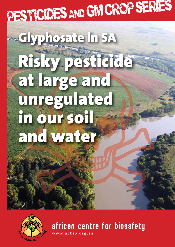# PESTICIDES AND GM CROP SERIES

### **Glyphosate in SA Risky pesticide at large and unregulated in our soil and water**



african centre for biosafety

www.acbio.org.za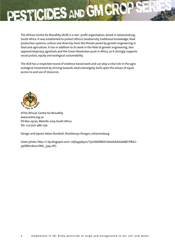

The African Centre for Biosafety (ACB) is a non-profit organisation, based in Johannesburg, South Africa. It was established to protect Africa's biodiversity, traditional knowledge, food production systems, culture and diversity, from the threats posed by genetic engineering in food and agriculture. It has in addition to its work in the field of genetic engineering, also opposed biopiracy, agrofuels and the Green Revolution push in Africa, as it strongly supports social justice, equity and ecological sustainability.

The ACB has a respected record of evidence based work and can play a vital role in the agroecological movement by striving towards seed sovereignty, built upon the values of equal access to and use of resources.



©The African Centre for Biosafety www.acbio.org.za PO Box 29170, Melville 2109 South Africa Tel: +27 (0)11 486 1156

Design and layout: Adam Rumball, Sharkbouys Designs, Johannesburg

Cover photo: http://1.bp.blogspot.com/-oQSqpjJAy2s/T5GH66fMEhI/AAAAAAAAAME/P8iG1- 33OR8/s1600/IMG\_3742.JPG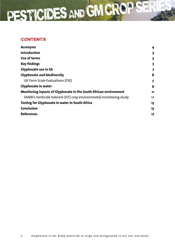### **CONTENTS**

| <b>Acronyms</b>                                                     | 4  |
|---------------------------------------------------------------------|----|
| <b>Introduction</b>                                                 | 5  |
| Use of terms                                                        | 5  |
| <b>Key findings</b>                                                 | 5  |
| <b>Glyphosate use in SA</b>                                         | 7  |
| <b>Glyphosate and biodiversity</b>                                  | 8  |
| UK Farm Scale Evaluations (FSE)                                     | 9  |
| <b>Glyphosate in water</b>                                          | 9  |
| Monitoring inpacts of Glyphosate in the South African environment   | 11 |
| SANBI's herbicide tolerant (HT) crop environmental monitoring study | 12 |
| Testing for Glyphosate in water in South Africa                     | 13 |
| <b>Conclusion</b>                                                   | 15 |
| <b>References</b>                                                   | 17 |
|                                                                     |    |

PESTICIDES AND GM CROP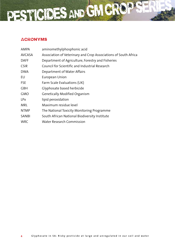

### Acronyms

| AMPA          | aminomethylphosphonic acid                                      |
|---------------|-----------------------------------------------------------------|
| <b>AVCASA</b> | Association of Veterinary and Crop Associations of South Africa |
| <b>DAFF</b>   | Department of Agriculture, Forestry and Fisheries               |
| <b>CSIR</b>   | Council for Scientific and Industrial Research                  |
| <b>DWA</b>    | Department of Water Affairs                                     |
| EU            | European Union                                                  |
| <b>FSE</b>    | Farm Scale Evaluations (UK)                                     |
| <b>GBH</b>    | Glyphosate based herbicide                                      |
| <b>GMO</b>    | <b>Genetically Modified Organism</b>                            |
| <b>LPx</b>    | lipid peroxidation                                              |
| MRL           | Maximum residue level                                           |
| <b>NTMP</b>   | The National Toxicity Monitoring Programme                      |
| SANBI         | South African National Biodiversity Institute                   |
| <b>WRC</b>    | <b>Water Research Commission</b>                                |
|               |                                                                 |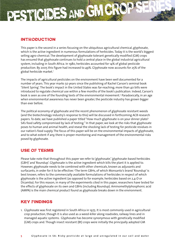### Introduction

PESTICIDES AND GM CR

This paper is the second in a series focusing on the ubiquitous agricultural chemical, glyphosate, which is the active ingredient in numerous formulations of herbicides. Today it is the world's biggest selling agro-chemical. The development of glyphosate tolerant genetically modified (GM) crops has ensured that glyphosate continues to hold a central place in the global industrial agricultural system, including in South Africa. In 1980, herbicides accounted for 14% of global pesticide production. By 2005 this figure had increased to 49%. Glyphosate now accounts for 25% of the global herbicide market.<sup>1</sup>

The impacts of agricultural pesticides on the environment have been well documented for a number of years. This year marks 50 years since the publishing of Rachel Carson's seminal book 'Silent Spring'. The book's impact in the United States was far-reaching; more than 40 bills were introduced to regulate chemical use within a few months of the book's publication. Indeed, Carson's book is seen as one of the founding texts of the environmental movement.<sup>2</sup> Paradoxically, in an age when environmental awareness has never been greater, the pesticide industry has grown bigger than ever before.

The political economy of glyphosate and the recent phenomenon of glyphosate resistant weeds (and the biotechnology industry's response to this) will be discussed in forthcoming ACB research papers. To date, we have published a paper titled "How much glyphosate is on your dinner plate? SA's food safety compromised by lack of testing." In that paper, we look at the risks that glyphosate poses to human and animal health, and reveal the shocking lack of testing for pesticide residues in our nation's food supply. The focus of this paper will be on the environmental impacts of glyphosate, and to what extent if any, there is proper monitoring and management of the environmental risks posed by glyphosate.

### Use of terms

Please take note that throughout this paper we refer to 'glyphosate', 'glyphosate-based herbicides (GBH)' and 'Roundup'. Glyphosate is the active ingredient which kills the plant it is applied to. However, glyphosate needs to be combined with other chemicals, known as adjuvants and surfacants, in order for it to be effective.<sup>3</sup> The term GBHs, of which Monsanto's brand 'Roundup' is best known, refers to the commercially available formulations of herbicides in respect of which glyphosate is the active ingredient (as opposed to for example, herbicides based on 2,4-D or Dicamba). For this reason, in many of the experiments cited in this paper, researchers have tested for the effects of glyphosate on its own and GBHs (including Roundup). Aminomethylphosphonic acid (AMPA) is the main chemical product found as glyphosate breaks down in the environment.

### Key findings

1. Glyphosate was first registered in South Africa in 1975. It is most commonly used in agricultural crop production, though it is also used as a weed-killer along roadsides, railway lines and in managed aquatic systems. Glyphosate has become synonymous with genetically modified (GM) crops and. Though insect resistant (Bt) crops were initially the principally adopted GM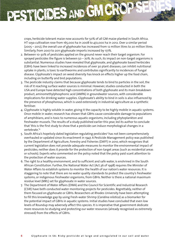crops, herbicide tolerant maize now accounts for 50% of all GM maize planted in South Africa. HT soya cultivation rose from 165,000 ha in 2008 to 472,000 ha in 2012. Over a similar period (2005 – 2012), the overall use of glyphosate has increased from 12 million litres to 20 million litres. Similarly, from 2007 to 2011 glyphosate imports increased by 177%.

PESTICIDES AND GM CR

- 2. Between 10-30% of pesticides applied on the ground never reach their target organism. For sprayed pesticides the figure is between  $50 - 70\%$ . As such, its impact on non-target organisms is substantial. Numerous studies have revealed that glyphosate, and glyphosate based herbicides (GBH): have been linked to increased incidences of over 30 plant diseases, can inhibit nutritional uptake in plants, is toxic to earthworms and contributes significantly to incidences of fungal disease. Glyphosate's impact on weed diversity has knock on effects higher up the food chain, including on butterfly and bird populations.
- 3. The pesticide industry claims that because glyphosate tends to bind to particles in the soil, the risk of it reaching surface water sources is minimal. However, studies conducted in both the USA and Europe have detected high concentrations of both glyphosate and its main breakdown product, aminomethylphosphonic acid (AMPA) in groundwater sources, with considerable implications for drinking water supplies. Glyphosate's ability to bind in soils is also influenced by the presence of phosphorous, which is used extensively in industrial agriculture as a synthetic fertiliser.
- 4. Glyphosate is highly soluble in water, giving it the capacity to be highly mobile in aquatic systems. Once mobile in water, research has shown that GBHs cause considerable damage to populations of amphibians, and is toxic to numerous aquatic organisms, including phytoplankton and freshwater mussels. The results of a study published earlier this year, led its author to conclude that 'this is the first study to show that a pesticide can induce morphological changes in a vertebrate.'4
- 5. South Africa's hopelssly dated legislation regulating pesticides<sup>5</sup> has not been comprehensively overhauled or updated since its enactment in 1947. A Pesticide Management policy was published by the Department of Agriculture, Forestry and Fisheries (DAFF) in 2010, which recognises that current legislation does not provide adequate measures to monitor the environmental impact of pesticides; neither does it provide for the protection of non-target areas (such as residential areas or schools). Experts who commented on the policy noted that the policy paid scant attention to the protection of water sources.
- 6. The right to a healthy environment, and to sufficient and safe water, is enshrined in the South African Constitution. Further, the National Water Act (Act.36 of 1998) requires the Minister of Water Affairs to establish systems to monitor the health of our nation's water resources. It is staggering to note that there are no water quality standards to protect the country's freshwater systems, or indigenous freshwater organisms, from GBHs. Neither is there a national maximum residue level (MRL) set for glyphosate in water sources.
- 7. The Department of Water Affairs (DWA) and the Council for Scientific and Industrial Research (CSIR) have both conducted water monitoring projects for pesticides. Regrettably, neither of them focused on glyphosate or GBHs. Researchers at Rhodes University have been attempting to fill this knowledge gap by using Fresh-water Shrimp (*Caridina nilotica*) as a biomarker for the potential impact of GBHs in aquatic systems. Initial studies have concluded that even low levels of Roundup may adversely affect this species. It is imperative that government dedicate more resources to studying and protecting our water resources (already recognised as extremely stressed) from the effects of GBHs.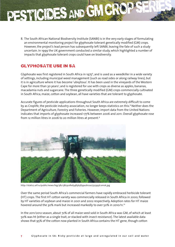8. The South African National Biodiversity Institute (SANBI) is in the very early stages of formulating an environmental monitoring project for glyphosate tolerant genetically modified (GM) crops. However, the project's lead person has subsequently left SANBI, leaving the fate of such a study uncertain. In 1999 the UK government conducted a similar study, which highlighted a number of impacts that glyphosate tolerant crops could have on biodiversity.

### Glyphosate use in SA

PESTICIDES AND GM CR

Glyphosate was first registered in South Africa in 1975 $6$ , and is used as a weedkiller in a wide variety of settings, including municipal weed management (such as road sides or along railway lines), but it is in agriculture where it has become 'ubiqitous'. It has been used in the vineyards of the Western Cape for more than 30 years<sup>7</sup>, and is registered for use with crops as diverse as apples, bananas, macadamia nuts and sugarcane. The three genetically modified (GM) crops commercially cultivated in South Africa, maize, cotton and soybean, all have varieties that are tolerant to glyphosate.

Accurate figures of pesticide applications throughout South Africa are extremely difficult to come by as Croplife, the pesticide industry association, no longer keeps statistics on this.<sup>8</sup> Neither does the Department of Agriculture, Forestry and Fisheries. However, import data from the United Nations indicates that imports of glyphosate increased 177% between 2006 and 2011. Overall glyphosate rose from 12 million litres in 2006 to 20 million litres at present.9



http://static2.aif.ru/public/news/big/382/3823cefed5483b5839a2b12a2732395d.omsk.jpg

Over the same period South Africa's commercial farmers have rapidly embraced herbicide tolerant (HT) crops. The first HT cotton variety was commercially released in South Africa in 2000, followed by HT varieties of soybean and maize in 2001 and 2002 respectively. Adoption rates for HT maize hovered around the 30% mark but increased markedly to over 50% in 2010/11.<sup>10</sup>

In the 2011/2012 season, about 72% of all maize seed sold in South Africa was GM, of which at least 50% was ht (either as a single trait, or stacked with insect resistance). The latest available data shows that 95% of the cotton now planted in South Africa contains the HT gene, though cotton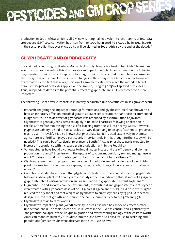production in South Africa, which is all GM now, is marginal (equivalent to less than 1% of total GM cropped area). HT soya cultivation has risen from 165,000 ha in 2008 to 472,000 ha in 2012. Experts in the sector predict that over 650,000 ha will be planted in South Africa by the end of the decade.<sup>11</sup>

### Glyphosate and biodiversity

PESTICIDES AND GM CR

It is claimed by industry, particularly Monsanto, that glyphosate is a benign herbicide.<sup>12</sup> Numerous scientific studies now refute this. Glyphosate can impact upon plants and animals in the following ways: via direct toxic effects of exposure to spray, chronic effects caused by long term exposure in the eco-system, and indirect effects due to changes in the eco-system.13 All of these pathways are exacerbated by the fact that a large portion of agro-chemicals never reach the intended target organism: 10-30% of pesticides applied on the ground, rising to 50-75% of sprayed pesticides.14 Thus, independent data as to the potential effects of glyphosate and GBHs becomes even more important.

The following list of adverse impacts is in no way exhaustive, but nevertheless raises grave concern:

- Research analyzing the impact of Roundup formulations and glyphosate itself, has shown it to have an inhibitory effect on microbial growth at lower concentrations than those recommended in agriculture. The toxic effect of glyphosate was amplified by its formulation adjuvants.<sup>15</sup>
- Glyphosate is generally considered to rapidly 'bind' to soil particles following application in the field, therefore minimising the risk of it leaching from the soil into nearby water. However, glyphosate's ability to bind to soil particles can vary depending upon specific chemical properties (such as soil Ph levels). It is also known that phosphate (which is used extensively in chemical agriculture as a fertiliser) plays a particularly important role in this, though further study will be needed.16 This could be of particular relevance to South Africa, as phosphate use is expected to increase in accordance with increased grain production within the Republic.<sup>17</sup>
- Various studies have found glyphosate to: impair water intake and use efficiency, and biomass production in plants<sup>18</sup>; interfere with the uptake of calcium, magnesium, iron and manganese in non HT soybeans<sup>19</sup>; and contribute significantly to incidences of fungal disease.<sup>20</sup>
- Glyphosate weed control programmes have been linked to increased incidences of over thirty plant diseases, in crops as diverse as apples, barley, canola, citrus, cotton, soybeans, tomatoes and wheat.<sup>21</sup>
- Greenhouse studies have shown that glyphosate interferes with iron uptake even in glyphosate tolerant soybean plants.<sup>22</sup> A three year field study in the USA indicated that, at rates of 2.52kg/ha, glyphosate inhibits nitrogen fixation and or simulation in glyphosate resistant soybeans.<sup>23</sup>
- In greenhouse and growth chamber experiments, conventional and glyphosate tolerant soybeans were treated with glyphosate doses of 0.28 kg/ha, 1.12 kg/ha and 2.24 kg/ha. A dose of 2.24kg/ha reduced the dry shoot and root weight of glyphosate tolerant soybeans by 25-30%. A repeated dosage reduced root growth, and reduced the nodule number by between 30% and 39%.<sup>24</sup>
- Glyphosate is toxic to earthworms.<sup>25</sup>
- Glyphosate's impact on plant (weed) diversity in areas it is used has knock-on effects further up the food-chain: The rapid spread of GM HT crops in the USA has contributed significantly to 'the potential collapse' of the 'unique migration and overwintering biology of the eastern North American monarch butterfly'.<sup>26</sup> Studies from the USA have also linked its use to declining bird populations (similar results were observed in the UK – see below).<sup>27</sup>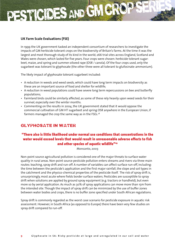### **UK Farm Scale Evaluations (FSE)**

In 1999 the UK government tasked an independent consortium of researchers to investigate the impacts of GM herbicide tolerant crops on the biodiversity of Britain's farms. At the time it was the largest and most thorough study of its kind in the world; 266 trial sites across England, Scotland and Wales were chosen, which lasted for five years. Four crops were chosen: herbicide tolerant sugarbeet, maize, and spring and summer oilseed rape (OSR / canola). Of the four crops used, only the sugarbeet was tolerant to glyphosate (the other three were all tolerant to glufosinate-ammonium).

The likely impact of glyphosate tolerant sugarbeet included:

PESTICIDES AND GM CR

- A reduction in weeds and weed seeds, which could have long term impacts on biodiversity as these are an important source of food and shelter for wildlife;
- A reduction in weed populations could have severe long term repercussions on bee and butterfly populations;
- Farmland birds could be similarly affected, as some of these rely heavily upon weed seeds for their survival, especially over the winter months.
- Commenting on the results in 2004, the UK government stated that it would oppose the commercial cultivation of GM HT sugarbeet and spring OSR anywhere in the European Union, if farmers managed the crop the same way as in the FSEs.<sup>28</sup>

### Glyphosate in water

### **"There also is little likelihood under normal use conditions that concentrations in the water would exceed levels that would result in unreasonable adverse effects to fish and other species of aquatic wildlife"29**

**Monsanto, 2003**

Non-point source agricultural pollution is considered one of the major threats to surface water quality in rural areas. Non-point source pesticide pollution enters streams and rivers via three main routes: leaching, spray drift and run-off. A number of variables can affect surface run-off, including: the time between the pesticide's application and the first major rainfall, the slope and soil types in the catchment and the physico-chemical properties of the pesticide itself. The risk of spray drift is, unsurprisingly, most acute where fields border surface waters. Pesticides are susceptible to spray drift when solutions are applied by ground spray equipment (e.g. tractors or handheld), but even more so by aerial application. As much as 30% of spray applications can move more than 15m from the intended site. Though the impact of spray drift can be minimized by the use of buffer zones between water bodies and crops, there is no buffer zone specified under South African regulations.

Spray drift is commonly regarded as the worst case scenario for pesticide exposure in aquatic risk assessment. However, in South Africa (as opposed to Europe) there have been very few studies on spray drift compared to run-off.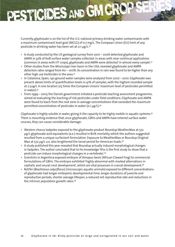Currently, glyphosate is on the list of the U.S. national primary drinking water contaminants with a maximum contaminant level goal (MCLG) of 0.7 mg/L. The European Union (EU) limit of any pesticide in drinking water has been set at 0.1 μg/L.<sup>30</sup>

PESTICIDES AND GM CR

- A study conducted by the US geological survey from 2001 2006 detected glyphosate and AMPA in 32% of 608 surface water samples collected. In areas with near continual applications (common in areas with HT crops), glyphosate and AMPA were detected 'in almost every sample'.31
- Other studies from the Mississippi river basin in the USA, revealed glyphosate and AMPA detection rates ranged from 60 – 100%. Its concentration in rain was found to be higher than any other high use herbicides in the area.32
- In Catalonia, Spain, 140 ground water samples were analyzed from 2007 2010. Glyphosate was present above limits of quantification levels in 41% of samples, with the highest recorded sample at 2.5ug/L in one location (25 times the European Unions' maximum level of pesticides permitted in water).33
- From 1999 2003 the Danish government initiated a pesticide leaching assessment programme, aimed at evaluating the leaching of risk pesticides under field conditions. Glyphosate and AMPA were found to leach from the root zone in average concentrations that exceeded the maximum permitted concentration of pesticides in water (0.1 μg/L).<sup>34</sup>

Glyphosate is highly soluble in water, giving it the capacity to be highly mobile in aquatic systems.<sup>35</sup> There is mounting evidence that, once glyphosate, GBHs and AMPA have entered surface water courses, they can cause considerable damage:

- Western chorus tadpoles exposed to the glyphosate product Roundup WeatherMax at 572 μg/L glyphosate acid equivalents (a.e.) resulted in 80% mortality, which the authors suggested resulted from a unique surfactant formulation. Exposure to WeatherMax or Roundup Original Max at 572 μg/L a.e. also lengthened the larval period for American toads.<sup>36</sup>
- A study published this year revealed that Roundup actually induced morphological changes in tadpoles. The author concluded that to his knowledge 'this is the first study to show that a pesticide can induce morphological changes in a vertebrate.'37
- Scientists in Argentina exposed embryos of *Xenopus laevis* (African Clawed Frog) to commercial formulations of GBHs. The embryos exhibited 'highly abnormal with marked alternations in cephalic and neural crest development', which are vital processes in cranial development.38
- Rotifer (*Brachionus calyciflorus*) (microscopic aquatic animals) exposed to different concentrations of glyphosate had longer embryonic developmental time, longer durations of juvenile and reproductive periods, shorter average lifespan, a reduced net reproductive rate and reductions in the intrinsic population growth rates.39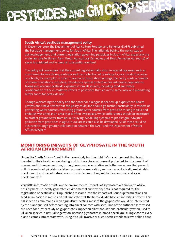## PESTICIDES AND GM CR

#### **South Africa's pesticide management policy**

In December 2010, the Department of Agriculture, Forestry and Fisheries (DAFF) published the Pesticide management policy for South Africa. The rationale behind the policy was an acknowledgement that current legislation governing pesticides in South Africa, especially the main law: the Fertilisers, Farm Feeds, Agricultural Remedies and Stock Remedies Act (Act 36 of 1947), is outdated and in need of substantial overhaul.

The policy acknowledges that the current legislation falls short in several key areas, such as environmental monitoring systems and the protection of non-target areas (residential areas or schools, for example). In order to overcome these shortcomings, the policy made a number of recommendations, including: introducing special protection for vulnerable populations; taking into account pesticide exposures from all sources, including food and water; consideration of the cumulative effects of pesticides that act in the same way; and mandating buffer zones for pesticide use.

Though welcoming the policy and the space for dialogue it opened up, experienced health professionals have stated that the policy could and should go further, particularly in respect of protecting water sources. Protecting groundwater sources from pesticide-mixing in field and orchards was cited as an area that is often overlooked, while buffer zones should be instituted to protect groundwater from aerial spraying. Modelling systems to predict groundwater pollution from pesticides in agricultural areas could also be developed. All of these could be achieved through greater collaboration between the DAFF and the Department of Water Affairs (DWA).40

### Monitoring impacts of glyphosate in the South African environment

Under the South African Constitution, everybody has the right to 'an environment that is not harmful to their health or well-being' and 'to have the environment protected, for the benefit of present and future generations, through reasonable legislative and other measures that prevent pollution and ecological degradation; promote conservation; and secure ecologically sustainable development and use of natural resources while promoting justifiable economic and social development'.41

Very little information exists on the environmental impacts of glyphosate within South Africa, possibly because locally generated environmental and toxicity data is not required for the registration of pesticides.42 Unpublished research into the impacts of Roundup formulations on seed germination in radish and oats indicate that the herbicide did have an inhibiting effect.<sup>43</sup> This risk is seen as minimal, as in an agricultural setting most of the glyphosate would be intercepted by the plant and soil before coming into direct contact with seed. One of the authors has stressed the need for further study on glyphosate's impact on plant populations, particularly when used to kill alien species in natural vegetation. Because glyphosate is 'broad-spectrum', killing close to every plant it comes into contact with, using it to kill invasive or alien species tends to leave behind bare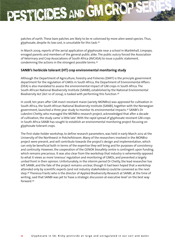patches of earth. These bare patches are likely to be re-colonised by more alien weed species. Thus, glyphosate, despite its low cost, is unsuitable for this task.44

In March 2009, reports of the aerial application of glyphosate near a school in Marblehall, Limpopo, enraged parents and members of the general public alike. The public outcry forced the Association of Veterinary and Crop Associations of South Africa (AVCASA) to issue a public statement, condemning the actions in the strongest possible terms.45

### **SANBI's herbicide tolerant (HT) crop environmental monitoring study**

PESTICIDES AND GM CR

Although the Department of Agriculture, Forestry and Fisheries (DAFF) is the principle government department for the regulation of GMOs in South Africa, the Department of Environmental Affairs (DEA) is also mandated to assess the environmental impact of GM crops in South Africa. The South African National Biodiversity Institute (SANBI), established by the National Environmental Biodiversity Act (Act 10 of 2004), is tasked with performing this function.46

In 2008, ten years after GM insect resistant maize (variety MON810) was approved for cultivation in South Africa, the South African National Biodiversity Institute (SANBI), together with the Norwegian government, launched a three year study to monitor its environmental impacts.47 SANBI's Dr Lukeshni Chetty, who managed the MON810 research project, acknowledged that after a decade of cultivation, the study came 'a little late'. With the rapid spread of glyphosate resistant GM crops in South Africa SANBI has sought to establish an environmental monitoring project focusing on glyphosate tolerant crops.

The first stake-holder workshop, to define research parameters, was held in early March 2012 at the University of the Northwest in Potchefstroom. Many of the researchers involved in the MON810 project were present, and will contribute towards the project's design and implementation, which can only be beneficial both in terms of the expertise they will bring and for purposes of consistency and continuity. However, the cooperation of the GENOK biosafety centre is contingent upon funding, which remains precarious. It was also clear from the workshop that industry is vehemently opposed to what it views as more 'onerous' regulation and monitoring of GMOs, and presented a largely united front in their opinion. Unfortunately, in the interim period Dr Chetty, the lead researcher has left SANBI, and the fate of the project remains unclear, though it had been hoped that a workshop attended only by scientific experts (and not industry stakeholders) could be convened as the next step.48 Theressa Frantz who is the director of Applied Biodiversity Research at SANBI, at the time of writing, said that SANBI was yet to 'have a strategic discussion at executive level' on the best way forward.49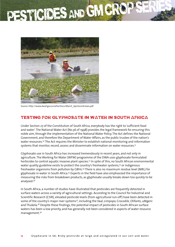# PESTICIDES AND GM CR



Source: http://www.dwaf.gov.za/wfw/Docs/March\_April2010Enews.pdf

### Testing for glyphosate in water in South Africa

Under Section 27 of the Constitution of South Africa, everybody has the right to 'sufficient food and water'. The National Water Act (No.36 of 1998) provides the legal framework for ensuring this noble aim, through the implementation of the National Water Policy. The Act defines the National Government, and therefore the Department of Water Affairs, as the public trustee of the nation's water resources.<sup>50</sup> The Act requires the Minister to establish national monitoring and information systems that monitor, record, assess and disseminate information on water resources.<sup>51</sup>

Glyphosate use in South Africa has increased tremendously in recent years, and not only in agriculture. The Working for Water (WFW) programme of the DWA uses glyphosate formulated herbicides to control aquatic invasive plant species.<sup>52</sup> In spite of this, no South African environmental water quality guideline exists to protect the country's freshwater systems,<sup>53</sup> or indigenous freshwater organisms from pollution by GBHs.54 There is also no maximum residue level (MRL) for glyphosate in water in South Africa.55 Experts in the field have also emphasized the importance of measuring the risks from breakdown products, as glyphosate usually breaks down too quickly to be analysed.56

In South Africa, a number of studies have illustrated that pesticides are frequently detected in surface waters across a variety of agricultural settings. According to the Council for Industrial and Scientific Research (CSIR), elevated pesticide levels (from agricultural run-off) have been detected in some of the country's major river systems<sup>57</sup>, including the Vaal, Limpopo, Crocodile, Olifants, uMgeni and Thukela.<sup>58</sup> Despite these findings, the potential impact of pesticides in South African surface waters has been a low priority, and has generally not been considered in aspects of water resource management.59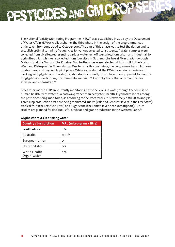The National Toxicity Monitoring Programme (NTMP) was established in 2002 by the Department of Water Affairs (DWA). A pilot scheme, the third phase in the design of the programme, was undertaken from June 2006 to October 2007. The aim of this phase was to test the design and to establish optimal sampling frequencies for various selected constituents.<sup>60</sup> Water samples were collected from six sites, representing various water-run off scenarios, from urban and industrial, to agricultural. Samples were collected from four sites in Gauteng: the Juksei River at Marlborough, Midrand and the N14; and the Klipriver. Two further sites were selected, at Jagspruit in the North West and Kleinspruit in Mpumalanga. Due to capacity constraints, the programme has so far been unable to expand beyond its pilot phase. While some staff at the DWA have prior experience of working with glyphosate in water, its laboratories currently do not have the equipment to monitor for glyphosate levels in 'any environmental medium.'61 Currently the NTMP only monitors for atrazine and endosulfan.<sup>62</sup>

Researchers at the CSIR are currently monitoring pesticide levels in water, though the focus is on human health (with water as a pathway) rather than ecosystem health. Glyphosate is not among the pesticides being monitored, as according to the researchers, it is 'extremely difficult to analyse'. Three crop production areas are being monitored: maize (Vals and Renoster Rivers in the Free State), tropical fruit (the Letsitlele River) and Sugar cane (the Lomati River, near Komatipoort). Future studies are planned for deciduous fruit, wheat and grape production in the Western Cape.<sup>63</sup>

| <b>Country / jurisdiction</b> | <b>MRL</b> (micro-gram / litre) |
|-------------------------------|---------------------------------|
| South Africa                  | n/a                             |
| Australia                     | $0.01^{64}$                     |
| European Union                | O.1                             |
| United States                 | 0.7                             |
| World Health<br>Organisation  | n/a                             |

PESTICIDES AND GM CR

#### **Glyphosate MRLs in drinking water**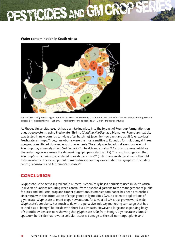### PESTICIDES AND GM CR

### **Water contamination in South Africa**



Source: CSIR (2010). Key: A – Agro-chemicals; E – Excessive Sediment; G – Groundwater contamination; M – Metals (mining & waste disposal); R – Radioactivity; S – Salinity; T – Acidic atmospheric deposits; U – Urban / industrial effluent.

At Rhodes University, research has been taking place into the impact of Roundup formulations on aquatic ecosystems, using Freshwater Shrimp (*Caridina Nilotica*) as a biomarker. Roundup's toxicity was tested in new born (up to 7 days after hatching), juvenile (7-20 days) and adult (over 40 days) Freshwater shrimps. Though newborns were the most sensitive to Roundup formulations, all three age groups exhibited slow and erratic movements. The study concluded that even low levels of Roundup may adversely affect *Caridina Nilotica* health and survival.<sup>65</sup> A study to assess oxidative tissue damage was assessed by determining lipid peroxidation (LPx). The results suggested that Roundup 'exerts toxic effects related to oxidative stress.'66 (In human's oxidative stress is thought to be involved in the development of many diseases or may exacerbate their symptoms, including cancer, Parkinson's and Alzheimer's disease).67

### Conclusion

Glyphosate is the active ingredient in numerous chemically based herbicides used in South Africa in diverse situations requiring weed control, from household gardens to the management of public facilities and industrial crop and timber plantations. Its market dominance has been entrenched since 1996 with the introduction of crops genetically modified (GM) to tolerate applications of glyphosate. Glyphosate tolerant crops now account for 85% of all GM crops grown world-wide. Glyphosate's popularity has much to do with a pervasive industry marketing campaign that has touted it as a "benign" herbicide with short-lived impacts. However, a large and expanding body of scientific evidence is now showing that glyphosate is far from benign. Glyphosate is a broadspectrum herbicide that is water soluble. It causes damage to the soil, non-target plants and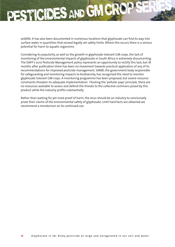wildlife. It has also been documented in numerous locations that glyphosate can find its way into surface water in quantities that exceed legally set safety limits. Where this occurs there is a serious potential for harm to aquatic organisms.

PESTICIDES AND GM CR

Considering its popularity, as well as the growth in glyphosate tolerant GM crops, the lack of monitoring of the environmental impacts of glyphosate in South Africa is extremely disconcerting. The DAFF's 2010 Pesticide Management policy represents an opportunity to rectify this lack, but 18 months after publication there has been no movement towards practical application of any of its recommendations for improved pesticide management. SANBI, the government body responsible for safeguarding and monitoring impacts to biodiversity, has recognised the need to monitor glyphosate tolerant GM crops. A monitoring programme has been proposed, but severe resource constraints threaten its adequate implementation. Flouting the 'polluter pays' principle, there are no resources available to assess and defend the threats to the collective commons posed by this product while the industry profits substantially.

Rather than waiting for yet more proof of harm, the onus should be on industry to conclusively prove their claims of the environmental safety of glyphosate. Until hard facts are obtained we recommend a moratorium on its continued use.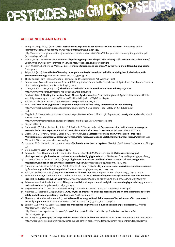### References and notes

- 1 Zhang, W. Jiang, F. Ou, J. (2011). **Global pesticide consumption and pollution: with China as a focus**. *Proceedings of the international academy of ecology and environmental sciences*, 1(2):125-144. http://www.iaees.org/publications/journals/piaees/articles/2011-1%282%29/Global-pesticide-consumption-pollution.pdf (accessed 13/06/2012)
- 2 Ashton, G. 19th September 2012. **Intentionally polluting our planet: The pesticide industry half a century after 'Silent Spring'**. South African Civil Society Information Service. http://sacsis.org.za/site/article/1430
- 3 Riley, P. Cotter, J. Contiero, M. Watts, M. (2011). **Herbicide tolerance and GM crops: Why the world should Roundup glyphosate**. Greenpeace
- 4 Relyea, RA. (2012). **New effects of Roundup on amphibians: Predators reduce herbicide mortality; herbicides induce antipredator morphology**. *Ecological Applications*, 22(2), pp.634 - 647
- 5 The Fertilizers, Farm Feeds, Agricultural Remedies and Stock Remedies Act (Act 36 of 1947)

PESTICIDES AND GM CRO

- 6 Promotion of Access to Information Request (PAIA) application. Submitted to Department of Agriculture, Forestry and Fisheries, directorate: Agricultural inputs control, 23/07/2012.
- 7 Cairns, A.L.P. &Eksteen, F.H. (2006). **The threat of herbicide resistant weeds to the wine industry**. Wynboer. http://www.wynboer.co.za/recentarticles/200604herbicide.php3
- 8 Purchase, J (2011). **Meeting the needs of South Africa's Ag-chem market**. Presentation given at Agchem Asia summit, October 2011. http://www.agbiz.co.za/LinkClick.aspx?fileticket=klciy7T0zp8%3D&tabid=362
- 9 Johan Conradie, private consultant. Personal correspondence. 10/05/2012
- 10 ACB (2012). **How much glyphosate is on your dinner plate? SA's food safety compromised by lack of testing**. http://www.acbio.org.za/images/stories/dmdocuments/ACB\_Glyphosate\_Food\_Safety\_in\_SA\_July2012.pdf
- 11 Ibid.
- 12 Magda du Toit, corporate communications manager, Monsanto South Africa. (17th September 2012) **Glyphosate is safe**. Letter to Farmer's Weekly.

http://www.farmersweekly.co.za/readers-letter.aspx?id=28586&h=Glyphosate-is-safe

- 13 Riley et al (2011).
- 14 Dabrowski, J.M. Schachtschneider, K. Ross, T.A. Bollmohr, S. Thwala, M (2011). **Development of an indicator methodology to estimate the relative exposure and risk of pesticides in South African surface waters**. Water Research Commission.
- 15 Clair, E. Linn, L. Travert, C. Amiel, C. Seralini, G.E. Panoff, J.M. (2012). **Effects of Roundup and Glyphosate on Three Food Microorganisms:** *Geotrichumcandidum, Lactococcuslactis subsp. cremoris* **and** *Lactobacillus delbrueckii subsp. Bulgaricus*. Curr Microbiol. DOI 10.1007/s00284-012-0098-3
- 16 Helander, M. Salomiemi, I. Saikkonen, K (2012). **Glyphosate in northern ecosystems**. *Trends in Plant Science, Vol.17, Issue 10. PP. 569- 574*
- 17 Grain SA (2011). **Grain SA fertiliser report 2011**.
- 18 Zobiole, L.H.S. de Oliveira Jr, R.S. Kremer, R.J. Constantin, J. Bonato, C.M. Muniz, A.S. (2010). **Water use efficiency and photosynthesis of glyphosate-resistant soybean as affected by glyphosate**. *Pesticide Biochemistry and Physiology, 97, 182- 193*.
- 19 Cakmak, I. Yazici, A. Tutus, Y. Ozturk, L (2009). **Glyphosate reduced seed and leaf concentrations of calcium, manganese, magnesium, and iron in non-glyphosate resistant soybean**. *European Journal of Agronomy. Pp.114-119.*
- 20 Fernandez, M.R. Zentner, R.P. Basnyat, P. Gehl, D. Selles, F. Huber, D. (2009). **Glyphosate associations with cereal diseases caused by Fusarium spp. in the Canadian prairies**. *European Journal of Agronomy 31, pp. 133 - 143*
- 21 Johal, G.S. Huber, D.M. (2009). **Glyphosate effects on diseases of plants**. *European Journal of agronomy, 31, pp. 144 152.*
- 22 Bellaloui, N. Reddy, K. Zablotowicz, R.M. Abbas, H.K. Abel, C.A (2009). **Effects of Glyphosate Application on Seed Iron and Root Ferric (III) Reductase in Soybean Cultivars**. *Journal of agricultural and food chemistry, 57, 9569-9574. DOI:10.1021/jf902175y*
- 23 Zablotowiczm R.M. Reddy, K.N (2007). **Nitrogenase activity, nitrogen content, and yield responses to glyphosate in glyphosateresistant soybean**. *Crop Protection, 26, pp.370-376*.
- 24 http://www.ars.usda.gov/SP2UserFiles/Place/64022000/Publications/Zablotowicz/Reddyetal.00JNS.pdf
- 25 Antoniou, M. Robinson, C. Fagan, J (2012). **GMO myths and truths: An evidence based examination of the claims made for the safety and efficacy of genetically modified crops**. *Earth open source*
- 26 Pleasants, J.M. and Oberhauser, K.S. (2012). **Milkweed loss in agricultural fields because of herbicide use: effect on monarch butterfly population**. *Insect conservation and diversity. doi: 10.1111/j.1752-4598.2012.00196.x*
- 27 Santillo, D.J. Brown, P.W. Leslie, D.M. **Response of songbirds to glyphosate-induced habitat changes on clearcuts**. *J Wildlife Management. 1989; 53: 64–71*.

 http://www.jstor.org/discover/10.2307/3801307?uid=3739368&uid=2129&uid=2134&uid=2&uid=70&uid=4&s id=21101183084441

28 Burke, M (2005). **Managing GM crops with herbicides: Effects on farmland wildlife**. Farmscale Evaluation Research Consortium. http://webarchive.nationalarchives.gov.uk/20080306073937/http://www.defra.gov.uk/environment/gm/fse/results/fse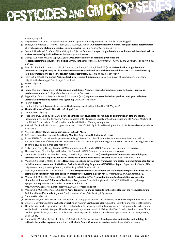summary-05.pdf

29 http://www.monsanto.com/products/Documents/glyphosate-background-materials/gly\_water\_bkg.pdf

PESTICIDES AND GM CRO

- 30 Songa, E.A. Somerset, V.S. Waryo, T. Baker, P.G.L. Iwuoha, E.I. (2009). **Amperometric nanobiosensor for quantitative determination of glyphosate and glufosinate residues in corn samples**. *Pure and Applied Chemistry, 81, 123-139*
- 31 Coupe, R.H. Kalkhoff, S.J. Capel, P.D. and Gregoire, C. (2011). **Fate and transport of glyphosate and aminomethylphosphonic acid in surface waters of agricultural basins**. *Pest management science.*
- 32 Chang, F.C. Simcik, M.F. and Capel, P.D. (2010). **Occurrence and fate of herbicide glyphosate and itsdegradateaminomethylphosphonic acid (AMPA) in the atmosphere**. *Environmental Toxicology and Chemistry, Vol. 30, No. 3, pp. 548–555*
- 33 Sanchís, J. Kantiani, L. Llorca, M. Rubio, F. Ginebreda, A. Fraile, J. Garrido,T. Farré, M. (2011). **Determination of glyphosate in groundwater samples using an ultrasensitive immunoassay and confirmation by on-line solid-phase extraction followed by liquid chromatography coupled to tandem mass spectrometry**. *doi:10.1007/s00216-011-5541-y*
- 34 Kjær, J. et al (2004). **The Danish Pesticide leaching assessment programme**. Geological survey of Denmark and Greenland. http://pesticidvarsling.dk/monitor\_uk/2003.html
- 35 Riley et al (2011).
- 36 Ibid
- 37 Relyea, R.A. (2012). **New effects of Roundup on amphibians: Predators reduce herbicide mortality; herbicides induce antipredator morphology**. *Ecological Applications, 22(2), pp.634 - 647*
- 38 Paganelli, A. Gnazzo, V. Acosta, H. Lopez, S. Carrasco, A. (2010). **Glyphosate-based herbicides produce teratogenic effects on vertebrates by impairing Retonic Acid signalling**. *Chem. Res. Toxicology*.
- 39 Riley et al (2011).
- 40 London, L. Rother, R. **Comments on the pesticide management policy**. Submitted 8th May 2006
- 41 **The Constitution of South Africa No.108 of 1996**. S.24
- 42 Dabrowski et al (2011).
- 43 Hebbelmann, L.H. and du Toit, J.C.O (2007). **The influence of glyphosate soil residues on germination of oats and radish**. Presentation given at the Joint 42nd Annual Congress of the Grassland Society of Southern Africa and 4th Annual Meeting of the Thicket Forum in Land Transformation and Rehabilitation I, Tuesday 17 July 2007.
- 44 Justin du Toit, Production scientist, pasture research. Grootfontein Agricultural Development Institute. Personal correspondence. 11/09/2012
- 45 ACB (2011). **Heavy Hands: Monsanto's control in South Africa**.
- 46 ACB (2012). **Hazardous Harvest: Genetically Modified Crops in South Africa, 2008 2012**.
- 47 To see SANBI's full report, see: http://www.sanbi.org/sites/default/files/documents/documents/sanbimaizereportlr.pdf For the ACB critique of the study, see: http://www.acbio.org.za/index.php/gmo-regulatory-issues/110-south-africa/356-critiqueof-sanbis-studies-on-monsantos-mon-810-
- 48 Dr. Lukeshni Chetty, Deputy Director: GMO monitoring and Research. SANBI. Personal correspondence. 07/09/2012
- 49 Theressa Franzt, Director: Applied Biodiversity Research, SANBI. Personal correspondence. 11/09/2012
- 50 Dabrowski, J.M. Schachtschneider, K. Ross, T.A. Bollmohr, S. Thwala, M. (2011). **Development of an indicator methodology to estimate the relative exposure and risk of pesticides in South African surface waters**. Water Research Commission.
- 51 Murray, K. Slabbert, L. Moloi, B. (2003). **Needs assessment and development framework for a tested implementation plan for the initialisation and execution of a National Toxicants Monitoring Programme (NTMP) Final Report**. Department of Water Affairs. http://www.dwa.gov.za/iwqs/water\_quality/ntmp/NTMPFinalReport.pdf
- 52 Mensah, P. K. Muller, W. J. and Palmer, C. G. (2012). **Acetylcholinesterase activity in the freshwater shrimp Caridina nilotica as a biomarker of Roundup® herbicide pollution of freshwater systems in South Africa**. *Water Science and Technology, 66.2*.
- 53 Mensah, P.K. Muller, W.J. Palmer, C.G. (2011). **Lipid Peroxidation in The Freshwater Shrimp Caridina nilotica as a potential biomarker of Roundup® Pollution of Freshwater Ecosystems**. Presentation given at 15th SANCIAHS National Hydrology Symposium. September 2011. Rhodes University. Grahamstown. http://www.ru.ac.za/static/institutes/iwr/SANCIAHS/Proceedings.pdf
- 54 Mensah, P.K. Muller, W.J. Palmer, C.G (2011). **Acute toxicity of Roundup herbicide to three life stages of the freshwater shrimp Caridina nilotica (Decapoda: Atyidae)**. *Physics and chemistry of the Earth, 36. P.905-909*.
- 55 Dabrowski et al (2011).
- 56 Silke Bollmohr, Post Doc. Researcher, Department of Zoology, University of Johannesburg. Personal correspondence. 11/09/2012
- 57 Oelofse, S. Strydom, W. (2010). **A CSIR perspective on water in South Africa 2010**. Council for Scientific and Industrial Research.
- 58 The other rivers where pesticides have been detected are (principle agricultural crops grown in their proximity where data available – in brackets) uMngeni, Thukela (crops and sugarcane), Umfolozi, Mkhuzi, the Vaal , Caledon, Modder, Lower Olifants, Letaba, Upper Olifants, Komati-Crocodile-Sabie, Crocodile, Mokolo, Lephalala, middle Limpopo (cotton and tobacco), Breede, Berg, Sunday.
- 59 Dabrowski, J.M. Schachtschneider, K. Ross, T.A. Bollmohr, S. Thwala, M. (2011). **Development of an indicator methodology to estimate the relative exposure and risk of pesticides in South African surface waters**. Water Research Commission.